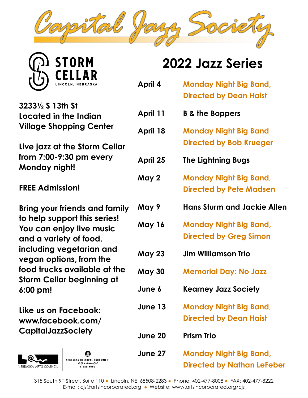

| <b>STORM</b>                                                                 | <b>2022 Jazz Series</b> |                                                                |
|------------------------------------------------------------------------------|-------------------------|----------------------------------------------------------------|
| <b>CELLAR</b>                                                                | April 4                 | <b>Monday Night Big Band,</b><br><b>Directed by Dean Haist</b> |
| 32331/2 S 13th St<br>Located in the Indian<br><b>Village Shopping Center</b> | April 11                | <b>B &amp; the Boppers</b>                                     |
|                                                                              | April 18                | <b>Monday Night Big Band</b>                                   |
| Live jazz at the Storm Cellar                                                |                         | <b>Directed by Bob Krueger</b>                                 |
| from 7:00-9:30 pm every<br>Monday night!                                     | April 25                | <b>The Lightning Bugs</b>                                      |
|                                                                              | May 2                   | <b>Monday Night Big Band,</b>                                  |
| <b>FREE Admission!</b>                                                       |                         | <b>Directed by Pete Madsen</b>                                 |
| <b>Bring your friends and family</b>                                         | May 9                   | <b>Hans Sturm and Jackie Allen</b>                             |
| to help support this series!<br>You can enjoy live music                     | May 16                  | <b>Monday Night Big Band,</b>                                  |
| and a variety of food,                                                       |                         | <b>Directed by Greg Simon</b>                                  |
| including vegetarian and<br>vegan options, from the                          | <b>May 23</b>           | <b>Jim Williamson Trio</b>                                     |
| food trucks available at the<br><b>Storm Cellar beginning at</b>             | <b>May 30</b>           | <b>Memorial Day: No Jazz</b>                                   |
| $6:00 \text{ pm}!$                                                           | June 6                  | <b>Kearney Jazz Society</b>                                    |
| Like us on Facebook:<br>www.facebook.com/<br><b>CapitalJazzSociety</b>       | June 13                 | <b>Monday Night Big Band,</b>                                  |
|                                                                              |                         | <b>Directed by Dean Haist</b>                                  |
|                                                                              | <b>June 20</b>          | <b>Prism Trio</b>                                              |
|                                                                              |                         |                                                                |





**June 27 Monday Night Big Band, Directed by Nathan LeFeber**